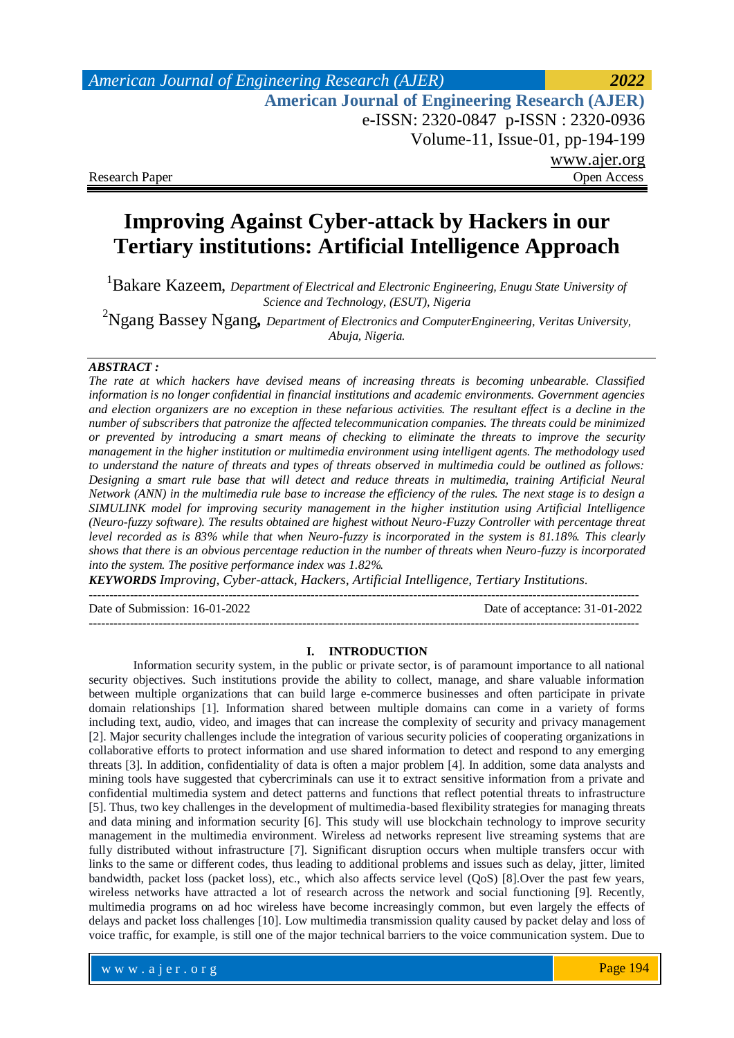# *American Journal of Engineering Research (AJER) 2022*  **American Journal of Engineering Research (AJER)** e-ISSN: 2320-0847 p-ISSN : 2320-0936 Volume-11, Issue-01, pp-194-199 www.ajer.org Research Paper **Open Access** Open Access **Open Access**

# **Improving Against Cyber-attack by Hackers in our Tertiary institutions: Artificial Intelligence Approach**

<sup>1</sup>Bakare Kazeem, *Department of Electrical and Electronic Engineering, Enugu State University of Science and Technology, (ESUT), Nigeria*

<sup>2</sup>Ngang Bassey Ngang*, Department of Electronics and ComputerEngineering, Veritas University, Abuja, Nigeria.*

### *ABSTRACT :*

*The rate at which hackers have devised means of increasing threats is becoming unbearable. Classified information is no longer confidential in financial institutions and academic environments. Government agencies and election organizers are no exception in these nefarious activities. The resultant effect is a decline in the number of subscribers that patronize the affected telecommunication companies. The threats could be minimized or prevented by introducing a smart means of checking to eliminate the threats to improve the security management in the higher institution or multimedia environment using intelligent agents. The methodology used to understand the nature of threats and types of threats observed in multimedia could be outlined as follows: Designing a smart rule base that will detect and reduce threats in multimedia, training Artificial Neural Network (ANN) in the multimedia rule base to increase the efficiency of the rules. The next stage is to design a SIMULINK model for improving security management in the higher institution using Artificial Intelligence (Neuro-fuzzy software). The results obtained are highest without Neuro-Fuzzy Controller with percentage threat level recorded as is 83% while that when Neuro-fuzzy is incorporated in the system is 81.18%. This clearly shows that there is an obvious percentage reduction in the number of threats when Neuro-fuzzy is incorporated into the system. The positive performance index was 1.82%.*

*KEYWORDS Improving, Cyber-attack, Hackers, Artificial Intelligence, Tertiary Institutions.*

-------------------------------------------------------------------------------------------------------------------------------------- Date of Submission: 16-01-2022 Date of acceptance: 31-01-2022

--------------------------------------------------------------------------------------------------------------------------------------

### **I. INTRODUCTION**

Information security system, in the public or private sector, is of paramount importance to all national security objectives. Such institutions provide the ability to collect, manage, and share valuable information between multiple organizations that can build large e-commerce businesses and often participate in private domain relationships [1]. Information shared between multiple domains can come in a variety of forms including text, audio, video, and images that can increase the complexity of security and privacy management [2]. Major security challenges include the integration of various security policies of cooperating organizations in collaborative efforts to protect information and use shared information to detect and respond to any emerging threats [3]. In addition, confidentiality of data is often a major problem [4]. In addition, some data analysts and mining tools have suggested that cybercriminals can use it to extract sensitive information from a private and confidential multimedia system and detect patterns and functions that reflect potential threats to infrastructure [5]. Thus, two key challenges in the development of multimedia-based flexibility strategies for managing threats and data mining and information security [6]. This study will use blockchain technology to improve security management in the multimedia environment. Wireless ad networks represent live streaming systems that are fully distributed without infrastructure [7]. Significant disruption occurs when multiple transfers occur with links to the same or different codes, thus leading to additional problems and issues such as delay, jitter, limited bandwidth, packet loss (packet loss), etc., which also affects service level (QoS) [8].Over the past few years, wireless networks have attracted a lot of research across the network and social functioning [9]. Recently, multimedia programs on ad hoc wireless have become increasingly common, but even largely the effects of delays and packet loss challenges [10]. Low multimedia transmission quality caused by packet delay and loss of voice traffic, for example, is still one of the major technical barriers to the voice communication system. Due to

www.ajer.org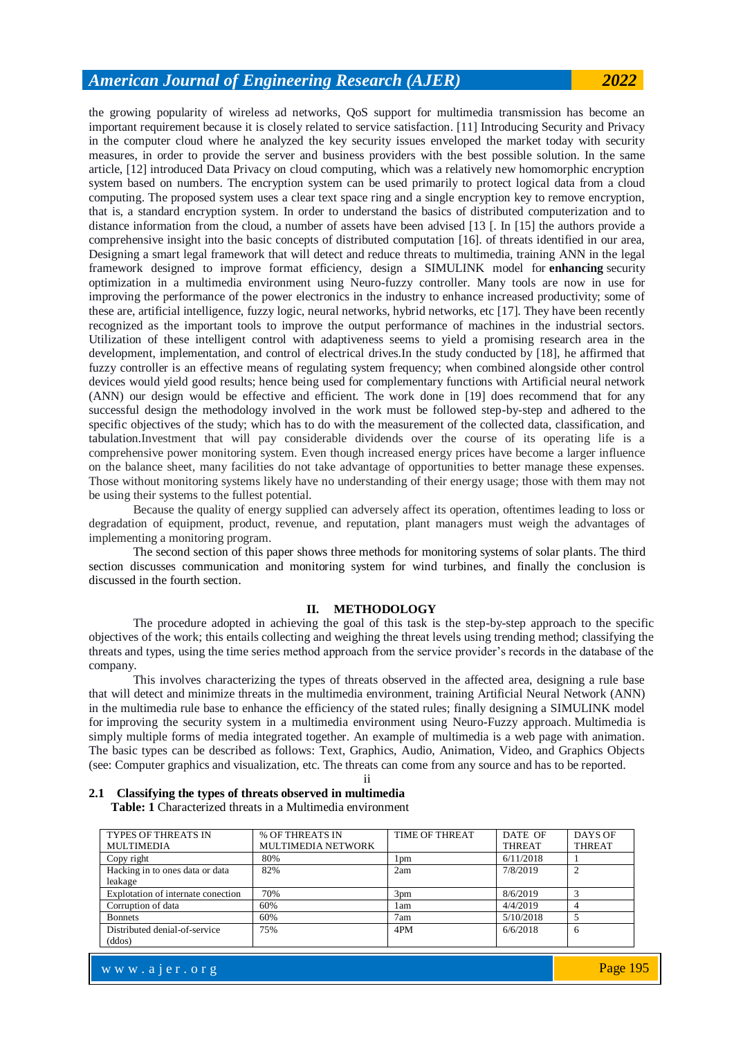### *American Journal of Engineering Research (AJER) 2022*

the growing popularity of wireless ad networks, QoS support for multimedia transmission has become an important requirement because it is closely related to service satisfaction. [11] Introducing Security and Privacy in the computer cloud where he analyzed the key security issues enveloped the market today with security measures, in order to provide the server and business providers with the best possible solution. In the same article, [12] introduced Data Privacy on cloud computing, which was a relatively new homomorphic encryption system based on numbers. The encryption system can be used primarily to protect logical data from a cloud computing. The proposed system uses a clear text space ring and a single encryption key to remove encryption, that is, a standard encryption system. In order to understand the basics of distributed computerization and to distance information from the cloud, a number of assets have been advised [13 [. In [15] the authors provide a comprehensive insight into the basic concepts of distributed computation [16]. of threats identified in our area, Designing a smart legal framework that will detect and reduce threats to multimedia, training ANN in the legal framework designed to improve format efficiency, design a SIMULINK model for **enhancing** security optimization in a multimedia environment using Neuro-fuzzy controller. Many tools are now in use for improving the performance of the power electronics in the industry to enhance increased productivity; some of these are, artificial intelligence, fuzzy logic, neural networks, hybrid networks, etc [17]. They have been recently recognized as the important tools to improve the output performance of machines in the industrial sectors. Utilization of these intelligent control with adaptiveness seems to yield a promising research area in the development, implementation, and control of electrical drives.In the study conducted by [18], he affirmed that fuzzy controller is an effective means of regulating system frequency; when combined alongside other control devices would yield good results; hence being used for complementary functions with Artificial neural network (ANN) our design would be effective and efficient. The work done in [19] does recommend that for any successful design the methodology involved in the work must be followed step-by-step and adhered to the specific objectives of the study; which has to do with the measurement of the collected data, classification, and tabulation.Investment that will pay considerable dividends over the course of its operating life is a comprehensive power monitoring system. Even though increased energy prices have become a larger influence on the balance sheet, many facilities do not take advantage of opportunities to better manage these expenses. Those without monitoring systems likely have no understanding of their energy usage; those with them may not be using their systems to the fullest potential.

Because the quality of energy supplied can adversely affect its operation, oftentimes leading to loss or degradation of equipment, product, revenue, and reputation, plant managers must weigh the advantages of implementing a monitoring program.

The second section of this paper shows three methods for monitoring systems of solar plants. The third section discusses communication and monitoring system for wind turbines, and finally the conclusion is discussed in the fourth section.

#### **II. METHODOLOGY**

The procedure adopted in achieving the goal of this task is the step-by-step approach to the specific objectives of the work; this entails collecting and weighing the threat levels using trending method; classifying the threats and types, using the time series method approach from the service provider's records in the database of the company.

This involves characterizing the types of threats observed in the affected area, designing a rule base that will detect and minimize threats in the multimedia environment, training Artificial Neural Network (ANN) in the multimedia rule base to enhance the efficiency of the stated rules; finally designing a SIMULINK model for improving the security system in a multimedia environment using Neuro-Fuzzy approach. Multimedia is simply multiple forms of media integrated together. An example of multimedia is a web page with animation. The basic types can be described as follows: Text, Graphics, Audio, Animation, Video, and Graphics Objects (see: Computer graphics and visualization, etc. The threats can come from any source and has to be reported.

ii

| <b>TYPES OF THREATS IN</b>         | % OF THREATS IN           | <b>TIME OF THREAT</b> | DATE OF       | DAYS OF       |
|------------------------------------|---------------------------|-----------------------|---------------|---------------|
| <b>MULTIMEDIA</b>                  | <b>MULTIMEDIA NETWORK</b> |                       | <b>THREAT</b> | <b>THREAT</b> |
| Copy right                         | 80%                       | 1 <sub>pm</sub>       | 6/11/2018     |               |
| Hacking in to ones data or data    | 82%                       | 2am                   | 7/8/2019      |               |
| leakage                            |                           |                       |               |               |
| Explotation of internate conection | 70%                       | 3 <sub>pm</sub>       | 8/6/2019      |               |
| Corruption of data                 | 60%                       | 1 am                  | 4/4/2019      |               |
| <b>Bonnets</b>                     | 60%                       | 7am                   | 5/10/2018     |               |
| Distributed denial-of-service      | 75%                       | 4PM                   | 6/6/2018      | <sub>6</sub>  |
| (ddos)                             |                           |                       |               |               |

#### **2.1 Classifying the types of threats observed in multimedia Table: 1** Characterized threats in a Multimedia environment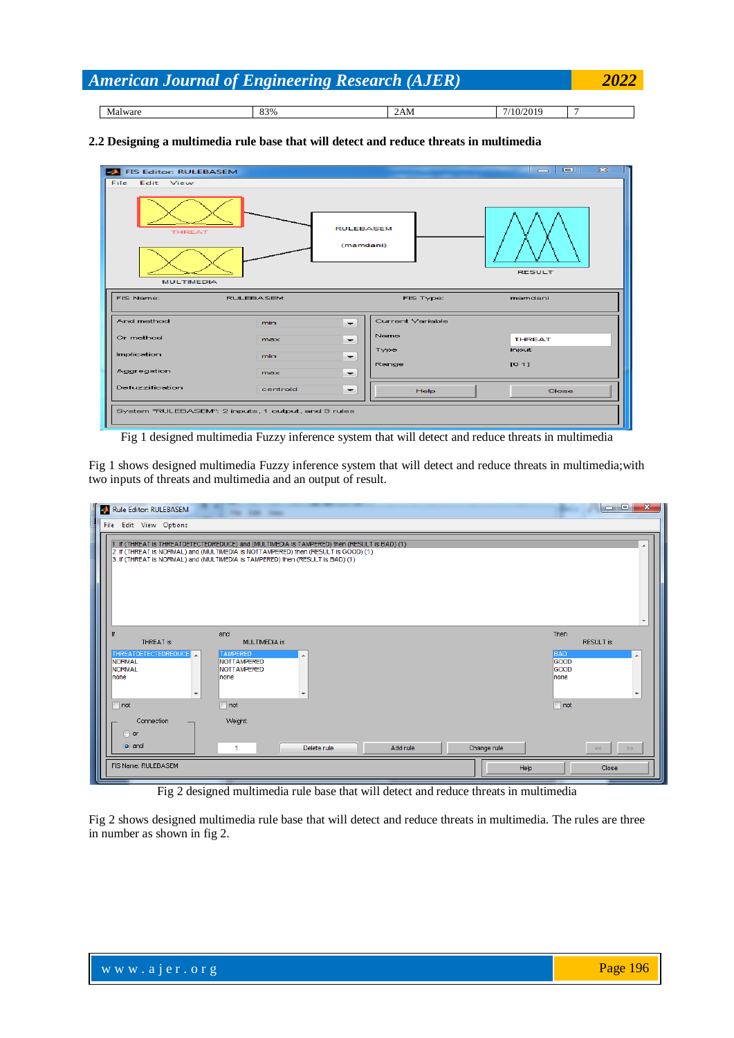| 2022<br><b>American Journal of Engineering Research (AJER)</b> |     |     |           |  |  |  |
|----------------------------------------------------------------|-----|-----|-----------|--|--|--|
|                                                                |     |     |           |  |  |  |
| Malware                                                        | 83% | 2AM | 7/10/2019 |  |  |  |

### **2.2 Designing a multimedia rule base that will detect and reduce threats in multimedia**

| $\overline{\mathbf{z}}$<br>$\Box$<br>$\qquad \qquad \blacksquare$<br><b>FIS Editor: RULEBASEM</b> |                  |                          |                  |               |  |
|---------------------------------------------------------------------------------------------------|------------------|--------------------------|------------------|---------------|--|
| File<br>Edit View                                                                                 |                  |                          |                  |               |  |
| <b>RULEBASEM</b><br><b>THREAT</b><br>(mamdani)<br><b>RESULT</b><br><b>MULTIMEDIA</b>              |                  |                          |                  |               |  |
| <b>FIS Name:</b>                                                                                  | <b>RULEBASEM</b> |                          | FIS Type:        | mamdani       |  |
| And method                                                                                        | min              | ۰.                       | Current Variable |               |  |
| Or method                                                                                         | max              | $\overline{\phantom{0}}$ | Name             | <b>THREAT</b> |  |
| Implication                                                                                       | min              | $\overline{\phantom{a}}$ | Type             | input         |  |
| Aggregation                                                                                       | max              | $\overline{\phantom{0}}$ | Range            | [01]          |  |
| Defuzzification                                                                                   | centroid         | $\overline{\phantom{a}}$ | Help             | Close         |  |
| System "RULEBASEM": 2 inputs, 1 output, and 3 rules                                               |                  |                          |                  |               |  |

Fig 1 designed multimedia Fuzzy inference system that will detect and reduce threats in multimedia

Fig 1 shows designed multimedia Fuzzy inference system that will detect and reduce threats in multimedia;with two inputs of threats and multimedia and an output of result.

| Rule Editor: RULEBASEM                                                                         | The Solic Trees                                                                                                                                                                                                                                                      | х<br>$-1$                                                                                                                     |
|------------------------------------------------------------------------------------------------|----------------------------------------------------------------------------------------------------------------------------------------------------------------------------------------------------------------------------------------------------------------------|-------------------------------------------------------------------------------------------------------------------------------|
| File Edit View Options                                                                         | 1. If (THREAT is THREATDETECTEDREDUCE) and (MULTIMEDIA is TAMPERED) then (RESULT is BAD) (1)<br>2. If (THREAT is NORMAL) and (MULTIMEDIA is NOTTAMPERED) then (RESULT is GOOD) (1)<br>3. If (THREAT is NORMAL) and (MULTIMEDIA is TAMPERED) then (RESULT is BAD) (1) | $\blacktriangle$<br>$\overline{\phantom{a}}$                                                                                  |
| If<br>THREAT is<br>THREATDETECTEDREDUCE<br><b>NORMAL</b><br>NORMAL<br>Inone<br>٠<br>$\Box$ not | and<br>MULTIMEDIA is<br><b>TAMPERED</b><br>×<br><b>NOTTAMPERED</b><br><b>NOTTAMPERED</b><br>Inone<br>٠<br>$\Box$ not                                                                                                                                                 | Then<br><b>RESULT</b> is<br><b>BAD</b><br>$\blacktriangle$<br>GOOD<br>GOOD<br>Inone<br>$\overline{\phantom{a}}$<br>$\Box$ not |
| Connection<br>or<br>o and<br>FIS Name: RULEBASEM                                               | Weight:<br>Add rule<br>Change rule<br>Delete rule<br>$\mathbf{1}$<br>Help                                                                                                                                                                                            | $<<$<br>$>>$<br>Close                                                                                                         |

Fig 2 designed multimedia rule base that will detect and reduce threats in multimedia

Fig 2 shows designed multimedia rule base that will detect and reduce threats in multimedia. The rules are three in number as shown in fig 2.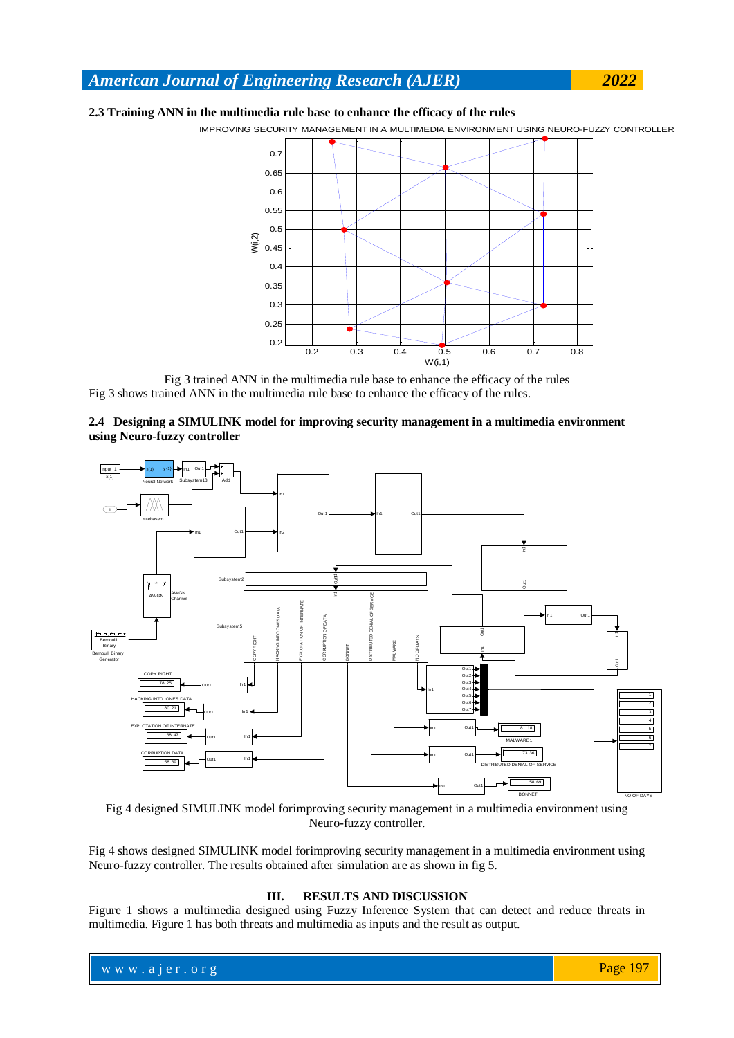## *American Journal of Engineering Research (AJER) 2022*

### **2.3 Training ANN in the multimedia rule base to enhance the efficacy of the rules**

IMPROVING SECURITY MANAGEMENT IN A MULTIMEDIA ENVIRONMENT USING NEURO-FUZZY CONTROLLER



Fig 3 trained ANN in the multimedia rule base to enhance the efficacy of the rules Fig 3 shows trained ANN in the multimedia rule base to enhance the efficacy of the rules.

### **2.4 Designing a SIMULINK model for improving security management in a multimedia environment using Neuro-fuzzy controller**



Fig 4 designed SIMULINK model forimproving security management in a multimedia environment using Neuro-fuzzy controller.

Fig 4 shows designed SIMULINK model forimproving security management in a multimedia environment using Neuro-fuzzy controller. The results obtained after simulation are as shown in fig 5.

### **III. RESULTS AND DISCUSSION**

Figure 1 shows a multimedia designed using Fuzzy Inference System that can detect and reduce threats in multimedia. Figure 1 has both threats and multimedia as inputs and the result as output.

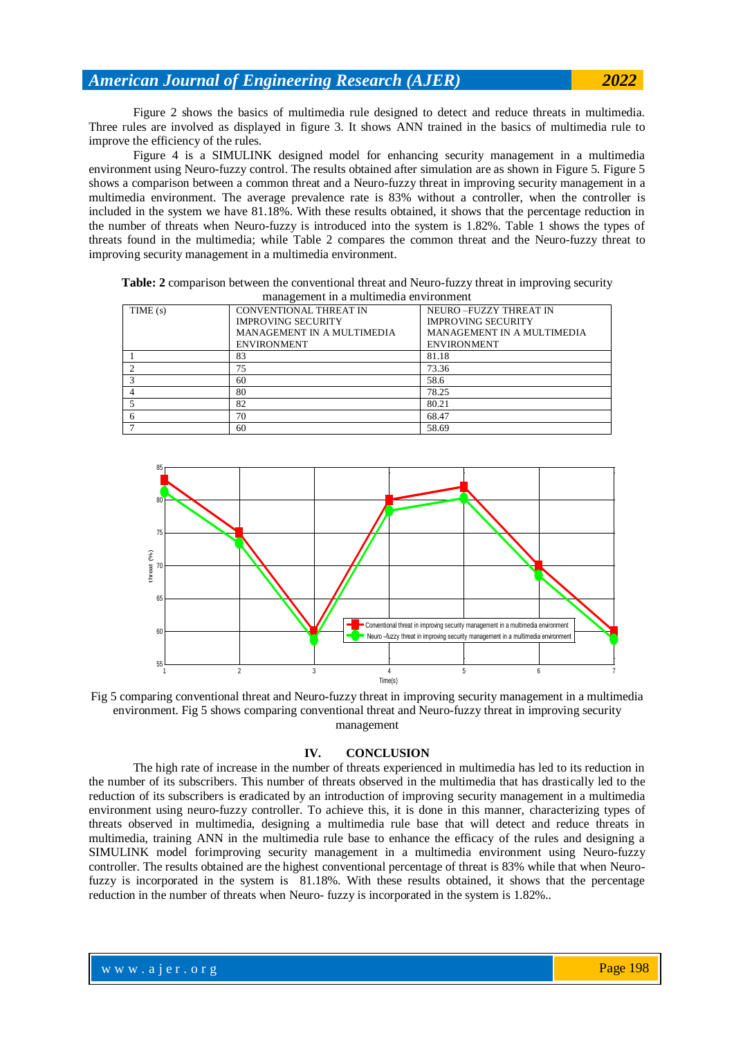Figure 2 shows the basics of multimedia rule designed to detect and reduce threats in multimedia. Three rules are involved as displayed in figure 3. It shows ANN trained in the basics of multimedia rule to improve the efficiency of the rules.

Figure 4 is a SIMULINK designed model for enhancing security management in a multimedia environment using Neuro-fuzzy control. The results obtained after simulation are as shown in Figure 5. Figure 5 shows a comparison between a common threat and a Neuro-fuzzy threat in improving security management in a multimedia environment. The average prevalence rate is 83% without a controller, when the controller is included in the system we have 81.18%. With these results obtained, it shows that the percentage reduction in the number of threats when Neuro-fuzzy is introduced into the system is 1.82%. Table 1 shows the types of threats found in the multimedia; while Table 2 compares the common threat and the Neuro-fuzzy threat to improving security management in a multimedia environment.

| management in a munimedia environment |                               |                            |  |  |  |
|---------------------------------------|-------------------------------|----------------------------|--|--|--|
| TIME(s)                               | <b>CONVENTIONAL THREAT IN</b> | NEURO-FUZZY THREAT IN      |  |  |  |
|                                       | <b>IMPROVING SECURITY</b>     | <b>IMPROVING SECURITY</b>  |  |  |  |
|                                       | MANAGEMENT IN A MULTIMEDIA    | MANAGEMENT IN A MULTIMEDIA |  |  |  |
|                                       | <b>ENVIRONMENT</b>            | <b>ENVIRONMENT</b>         |  |  |  |
|                                       | 83                            | 81.18                      |  |  |  |
|                                       | 75                            | 73.36                      |  |  |  |
|                                       | 60                            | 58.6                       |  |  |  |
|                                       | 80                            | 78.25                      |  |  |  |
|                                       | 82                            | 80.21                      |  |  |  |
|                                       | 70                            | 68.47                      |  |  |  |
|                                       | 60                            | 58.69                      |  |  |  |

**Table: 2** comparison between the conventional threat and Neuro-fuzzy threat in improving security ement in a multimedia enviro



Fig 5 comparing conventional threat and Neuro-fuzzy threat in improving security management in a multimedia environment. Fig 5 shows comparing conventional threat and Neuro-fuzzy threat in improving security management

### **IV. CONCLUSION**

The high rate of increase in the number of threats experienced in multimedia has led to its reduction in the number of its subscribers. This number of threats observed in the multimedia that has drastically led to the reduction of its subscribers is eradicated by an introduction of improving security management in a multimedia environment using neuro-fuzzy controller. To achieve this, it is done in this manner, characterizing types of threats observed in multimedia, designing a multimedia rule base that will detect and reduce threats in multimedia, training ANN in the multimedia rule base to enhance the efficacy of the rules and designing a SIMULINK model forimproving security management in a multimedia environment using Neuro-fuzzy controller. The results obtained are the highest conventional percentage of threat is 83% while that when Neurofuzzy is incorporated in the system is 81.18%. With these results obtained, it shows that the percentage reduction in the number of threats when Neuro- fuzzy is incorporated in the system is 1.82%..